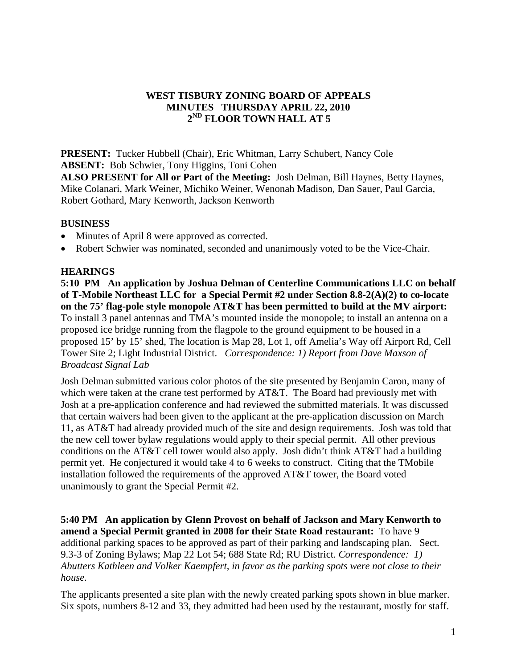## **WEST TISBURY ZONING BOARD OF APPEALS MINUTES THURSDAY APRIL 22, 2010 2ND FLOOR TOWN HALL AT 5**

**PRESENT:** Tucker Hubbell (Chair), Eric Whitman, Larry Schubert, Nancy Cole **ABSENT:** Bob Schwier, Tony Higgins, Toni Cohen

**ALSO PRESENT for All or Part of the Meeting:** Josh Delman, Bill Haynes, Betty Haynes, Mike Colanari, Mark Weiner, Michiko Weiner, Wenonah Madison, Dan Sauer, Paul Garcia, Robert Gothard, Mary Kenworth, Jackson Kenworth

## **BUSINESS**

- Minutes of April 8 were approved as corrected.
- Robert Schwier was nominated, seconded and unanimously voted to be the Vice-Chair.

#### **HEARINGS**

**5:10 PM An application by Joshua Delman of Centerline Communications LLC on behalf of T-Mobile Northeast LLC for a Special Permit #2 under Section 8.8-2(A)(2) to co-locate on the 75' flag-pole style monopole AT&T has been permitted to build at the MV airport:** To install 3 panel antennas and TMA's mounted inside the monopole; to install an antenna on a proposed ice bridge running from the flagpole to the ground equipment to be housed in a proposed 15' by 15' shed, The location is Map 28, Lot 1, off Amelia's Way off Airport Rd, Cell Tower Site 2; Light Industrial District.*Correspondence: 1) Report from Dave Maxson of Broadcast Signal Lab* 

Josh Delman submitted various color photos of the site presented by Benjamin Caron, many of which were taken at the crane test performed by AT&T. The Board had previously met with Josh at a pre-application conference and had reviewed the submitted materials. It was discussed that certain waivers had been given to the applicant at the pre-application discussion on March 11, as AT&T had already provided much of the site and design requirements. Josh was told that the new cell tower bylaw regulations would apply to their special permit. All other previous conditions on the AT&T cell tower would also apply. Josh didn't think AT&T had a building permit yet. He conjectured it would take 4 to 6 weeks to construct. Citing that the TMobile installation followed the requirements of the approved AT&T tower, the Board voted unanimously to grant the Special Permit #2.

**5:40 PM An application by Glenn Provost on behalf of Jackson and Mary Kenworth to amend a Special Permit granted in 2008 for their State Road restaurant:** To have 9 additional parking spaces to be approved as part of their parking and landscaping plan. Sect. 9.3-3 of Zoning Bylaws; Map 22 Lot 54; 688 State Rd; RU District. *Correspondence: 1) Abutters Kathleen and Volker Kaempfert, in favor as the parking spots were not close to their house.* 

The applicants presented a site plan with the newly created parking spots shown in blue marker. Six spots, numbers 8-12 and 33, they admitted had been used by the restaurant, mostly for staff.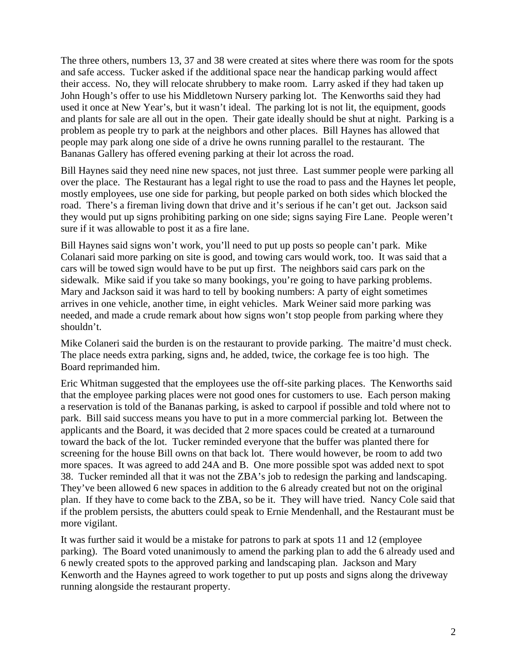The three others, numbers 13, 37 and 38 were created at sites where there was room for the spots and safe access. Tucker asked if the additional space near the handicap parking would affect their access. No, they will relocate shrubbery to make room. Larry asked if they had taken up John Hough's offer to use his Middletown Nursery parking lot. The Kenworths said they had used it once at New Year's, but it wasn't ideal. The parking lot is not lit, the equipment, goods and plants for sale are all out in the open. Their gate ideally should be shut at night. Parking is a problem as people try to park at the neighbors and other places. Bill Haynes has allowed that people may park along one side of a drive he owns running parallel to the restaurant. The Bananas Gallery has offered evening parking at their lot across the road.

Bill Haynes said they need nine new spaces, not just three. Last summer people were parking all over the place. The Restaurant has a legal right to use the road to pass and the Haynes let people, mostly employees, use one side for parking, but people parked on both sides which blocked the road. There's a fireman living down that drive and it's serious if he can't get out. Jackson said they would put up signs prohibiting parking on one side; signs saying Fire Lane. People weren't sure if it was allowable to post it as a fire lane.

Bill Haynes said signs won't work, you'll need to put up posts so people can't park. Mike Colanari said more parking on site is good, and towing cars would work, too. It was said that a cars will be towed sign would have to be put up first. The neighbors said cars park on the sidewalk. Mike said if you take so many bookings, you're going to have parking problems. Mary and Jackson said it was hard to tell by booking numbers: A party of eight sometimes arrives in one vehicle, another time, in eight vehicles. Mark Weiner said more parking was needed, and made a crude remark about how signs won't stop people from parking where they shouldn't.

Mike Colaneri said the burden is on the restaurant to provide parking. The maitre'd must check. The place needs extra parking, signs and, he added, twice, the corkage fee is too high. The Board reprimanded him.

Eric Whitman suggested that the employees use the off-site parking places. The Kenworths said that the employee parking places were not good ones for customers to use. Each person making a reservation is told of the Bananas parking, is asked to carpool if possible and told where not to park. Bill said success means you have to put in a more commercial parking lot. Between the applicants and the Board, it was decided that 2 more spaces could be created at a turnaround toward the back of the lot. Tucker reminded everyone that the buffer was planted there for screening for the house Bill owns on that back lot. There would however, be room to add two more spaces. It was agreed to add 24A and B. One more possible spot was added next to spot 38. Tucker reminded all that it was not the ZBA's job to redesign the parking and landscaping. They've been allowed 6 new spaces in addition to the 6 already created but not on the original plan. If they have to come back to the ZBA, so be it. They will have tried. Nancy Cole said that if the problem persists, the abutters could speak to Ernie Mendenhall, and the Restaurant must be more vigilant.

It was further said it would be a mistake for patrons to park at spots 11 and 12 (employee parking). The Board voted unanimously to amend the parking plan to add the 6 already used and 6 newly created spots to the approved parking and landscaping plan. Jackson and Mary Kenworth and the Haynes agreed to work together to put up posts and signs along the driveway running alongside the restaurant property.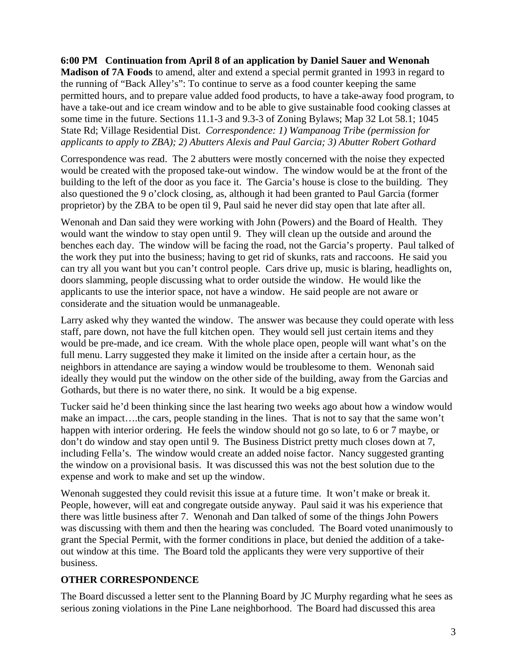## **6:00 PM Continuation from April 8 of an application by Daniel Sauer and Wenonah**

**Madison of 7A Foods** to amend, alter and extend a special permit granted in 1993 in regard to the running of "Back Alley's": To continue to serve as a food counter keeping the same permitted hours, and to prepare value added food products, to have a take-away food program, to have a take-out and ice cream window and to be able to give sustainable food cooking classes at some time in the future. Sections 11.1-3 and 9.3-3 of Zoning Bylaws; Map 32 Lot 58.1; 1045 State Rd; Village Residential Dist. *Correspondence: 1) Wampanoag Tribe (permission for applicants to apply to ZBA); 2) Abutters Alexis and Paul Garcia; 3) Abutter Robert Gothard* 

Correspondence was read. The 2 abutters were mostly concerned with the noise they expected would be created with the proposed take-out window. The window would be at the front of the building to the left of the door as you face it. The Garcia's house is close to the building. They also questioned the 9 o'clock closing, as, although it had been granted to Paul Garcia (former proprietor) by the ZBA to be open til 9, Paul said he never did stay open that late after all.

Wenonah and Dan said they were working with John (Powers) and the Board of Health. They would want the window to stay open until 9. They will clean up the outside and around the benches each day. The window will be facing the road, not the Garcia's property. Paul talked of the work they put into the business; having to get rid of skunks, rats and raccoons. He said you can try all you want but you can't control people. Cars drive up, music is blaring, headlights on, doors slamming, people discussing what to order outside the window. He would like the applicants to use the interior space, not have a window. He said people are not aware or considerate and the situation would be unmanageable.

Larry asked why they wanted the window. The answer was because they could operate with less staff, pare down, not have the full kitchen open. They would sell just certain items and they would be pre-made, and ice cream. With the whole place open, people will want what's on the full menu. Larry suggested they make it limited on the inside after a certain hour, as the neighbors in attendance are saying a window would be troublesome to them. Wenonah said ideally they would put the window on the other side of the building, away from the Garcias and Gothards, but there is no water there, no sink. It would be a big expense.

Tucker said he'd been thinking since the last hearing two weeks ago about how a window would make an impact….the cars, people standing in the lines. That is not to say that the same won't happen with interior ordering. He feels the window should not go so late, to 6 or 7 maybe, or don't do window and stay open until 9. The Business District pretty much closes down at 7, including Fella's. The window would create an added noise factor. Nancy suggested granting the window on a provisional basis. It was discussed this was not the best solution due to the expense and work to make and set up the window.

Wenonah suggested they could revisit this issue at a future time. It won't make or break it. People, however, will eat and congregate outside anyway. Paul said it was his experience that there was little business after 7. Wenonah and Dan talked of some of the things John Powers was discussing with them and then the hearing was concluded. The Board voted unanimously to grant the Special Permit, with the former conditions in place, but denied the addition of a takeout window at this time. The Board told the applicants they were very supportive of their business.

# **OTHER CORRESPONDENCE**

The Board discussed a letter sent to the Planning Board by JC Murphy regarding what he sees as serious zoning violations in the Pine Lane neighborhood. The Board had discussed this area